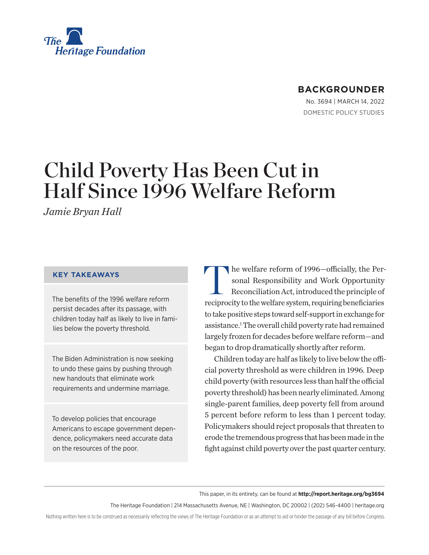<span id="page-0-0"></span>

### **BACKGROUNDER**

No. 3694 | March 14, 2022 DOMESTIC POLICY STUDIES

# Child Poverty Has Been Cut in Half Since 1996 Welfare Reform

*Jamie Bryan Hall*

### **KEY TAKEAWAYS**

The benefits of the 1996 welfare reform persist decades after its passage, with children today half as likely to live in families below the poverty threshold.

The Biden Administration is now seeking to undo these gains by pushing through new handouts that eliminate work requirements and undermine marriage.

To develop policies that encourage Americans to escape government dependence, policymakers need accurate data on the resources of the poor.

The welfare reform of 1996—officially, the Personal Responsibility and Work Opportunity Reconciliation Act, introduced the principle of reciprocity to the welfare system, requiring beneficiaries to take positive steps toward self-support in exchange for assistance.[1](#page-13-0) The overall child poverty rate had remained largely frozen for decades before welfare reform—and began to drop dramatically shortly after reform.

Children today are half as likely to live below the official poverty threshold as were children in 1996. Deep child poverty (with resources less than half the official poverty threshold) has been nearly eliminated. Among single-parent families, deep poverty fell from around 5 percent before reform to less than 1 percent today. Policymakers should reject proposals that threaten to erode the tremendous progress that has been made in the fight against child poverty over the past quarter century.

This paper, in its entirety, can be found at **http://report.heritage.org/bg3694**

The Heritage Foundation | 214 Massachusetts Avenue, NE | Washington, DC 20002 | (202) 546-4400 | [heritage.org](https://www.hhs.gov/about/news/2018/09/24/statement-from-the-department-of-health-and-human-services.html)

Nothing written here is to be construed as necessarily reflecting the views of The Heritage Foundation or as an attempt to aid or hinder the passage of any bill before Congress.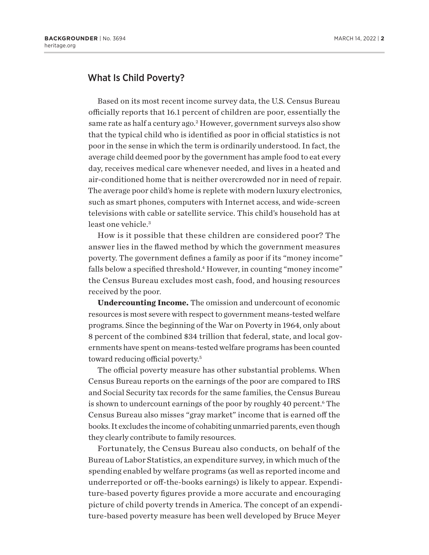### <span id="page-1-0"></span>What Is Child Poverty?

Based on its most recent income survey data, the U.S. Census Bureau officially reports that 16.1 percent of children are poor, essentially the same rate as half a century ago.<sup>2</sup> However, government surveys also show that the typical child who is identified as poor in official statistics is not poor in the sense in which the term is ordinarily understood. In fact, the average child deemed poor by the government has ample food to eat every day, receives medical care whenever needed, and lives in a heated and air-conditioned home that is neither overcrowded nor in need of repair. The average poor child's home is replete with modern luxury electronics, such as smart phones, computers with Internet access, and wide-screen televisions with cable or satellite service. This child's household has at least one vehicle.[3](#page-13-0)

How is it possible that these children are considered poor? The answer lies in the flawed method by which the government measures poverty. The government defines a family as poor if its "money income" falls below a specified threshold.<sup>4</sup> However, in counting "money income" the Census Bureau excludes most cash, food, and housing resources received by the poor.

**Undercounting Income.** The omission and undercount of economic resources is most severe with respect to government means-tested welfare programs. Since the beginning of the War on Poverty in 1964, only about 8 percent of the combined \$34 trillion that federal, state, and local governments have spent on means-tested welfare programs has been counted toward reducing official poverty[.5](#page-13-0)

The official poverty measure has other substantial problems. When Census Bureau reports on the earnings of the poor are compared to IRS and Social Security tax records for the same families, the Census Bureau is shown to undercount earnings of the poor by roughly 40 percent.<sup>[6](#page-13-0)</sup> The Census Bureau also misses "gray market" income that is earned off the books. It excludes the income of cohabiting unmarried parents, even though they clearly contribute to family resources.

Fortunately, the Census Bureau also conducts, on behalf of the Bureau of Labor Statistics, an expenditure survey, in which much of the spending enabled by welfare programs (as well as reported income and underreported or off-the-books earnings) is likely to appear. Expenditure-based poverty figures provide a more accurate and encouraging picture of child poverty trends in America. The concept of an expenditure-based poverty measure has been well developed by Bruce Meyer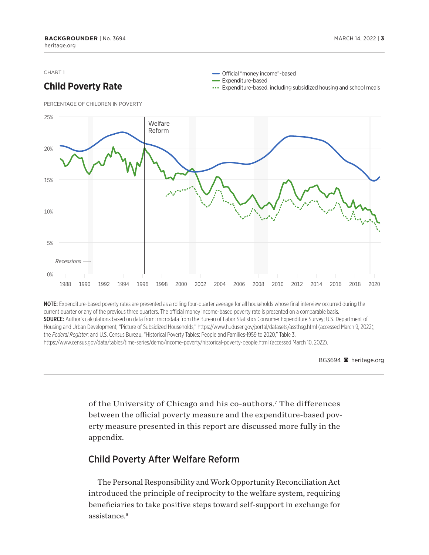### <span id="page-2-0"></span>**Child Poverty Rate**

- Official "money income"-based - Expenditure-based

- 
- Expenditure-based, including subsidized housing and school meals

PERCENTAGE OF CHILDREN IN POVERTY



NOTE: Expenditure-based poverty rates are presented as a rolling four-quarter average for all households whose final interview occurred during the current quarter or any of the previous three quarters. The official money income-based poverty rate is presented on a comparable basis. SOURCE: Author's calculations based on data from: microdata from the Bureau of Labor Statistics Consumer Expenditure Survey; U.S. Department of Housing and Urban Development, "Picture of Subsidized Households," https://www.huduser.gov/portal/datasets/assthsg.html (accessed March 9, 2022); the *Federal Register*; and U.S. Census Bureau, "Historical Poverty Tables: People and Families-1959 to 2020," Table 3, https://www.census.gov/data/tables/time-series/demo/income-poverty/historical-poverty-people.html (accessed March 10, 2022).

BG3694 <sup>a</sup> heritage.org

of the University of Chicago and his co-authors.<sup>[7](#page-13-0)</sup> The differences between the official poverty measure and the expenditure-based poverty measure presented in this report are discussed more fully in the appendix.

### Child Poverty After Welfare Reform

The Personal Responsibility and Work Opportunity Reconciliation Act introduced the principle of reciprocity to the welfare system, requiring beneficiaries to take positive steps toward self-support in exchange for assistance[.8](#page-13-0)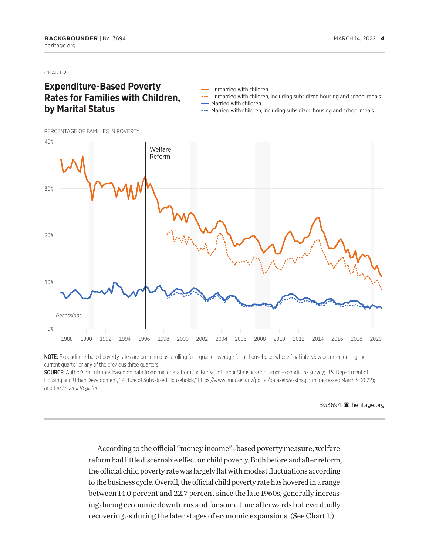### **Expenditure-Based Poverty Rates for Families with Children, by Marital Status**

- Unmarried with children
- Unmarried with children, including subsidized housing and school meals
- Married with children
- ••• Married with children, including subsidized housing and school meals



NOTE: Expenditure-based poverty rates are presented as a rolling four-quarter average for all households whose final interview occurred during the current quarter or any of the previous three quarters.

SOURCE: Author's calculations based on data from: microdata from the Bureau of Labor Statistics Consumer Expenditure Survey; U.S. Department of Housing and Urban Development, "Picture of Subsidized Households," https://www.huduser.gov/portal/datasets/assthsg.html (accessed March 9, 2022); and the *Federal Register*.

BG3694 <sup>a</sup> heritage.org

According to the official "money income"–based poverty measure, welfare reform had little discernable effect on child poverty. Both before and after reform, the official child poverty rate was largely flat with modest fluctuations according to the business cycle. Overall, the official child poverty rate has hovered in a range between 14.0 percent and 22.7 percent since the late 1960s, generally increasing during economic downturns and for some time afterwards but eventually recovering as during the later stages of economic expansions. (See Chart 1.)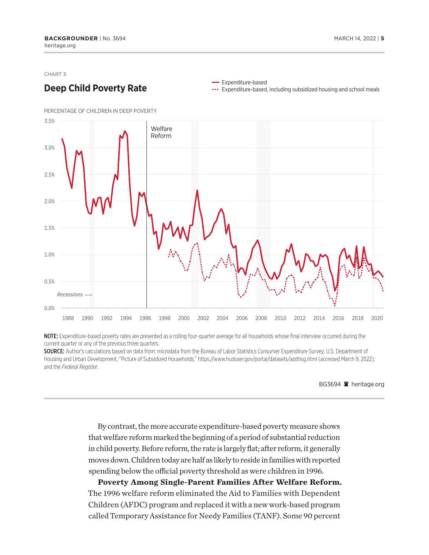## **Deep Child Poverty Rate Expenditure-based Expenditure-based**

Expenditure-based, including subsidized housing and school meals



NOTE: Expenditure-based poverty rates are presented as a rolling four-quarter average for all households whose final interview occurred during the current quarter or any of the previous three quarters.

SOURCE: Author's calculations based on data from: microdata from the Bureau of Labor Statistics Consumer Expenditure Survey; U.S. Department of Housing and Urban Development, "Picture of Subsidized Households," https://www.huduser.gov/portal/datasets/assthsg.html (accessed March 9, 2022); and the *Federal Register*.

#### BG3694 **A** heritage.org

By contrast, the more accurate expenditure-based poverty measure shows that welfare reform marked the beginning of a period of substantial reduction in child poverty. Before reform, the rate is largely flat; after reform, it generally moves down. Children today are half as likely to reside in families with reported spending below the official poverty threshold as were children in 1996.

**Poverty Among Single-Parent Families After Welfare Reform.**  The 1996 welfare reform eliminated the Aid to Families with Dependent Children (AFDC) program and replaced it with a new work-based program called Temporary Assistance for Needy Families (TANF). Some 90 percent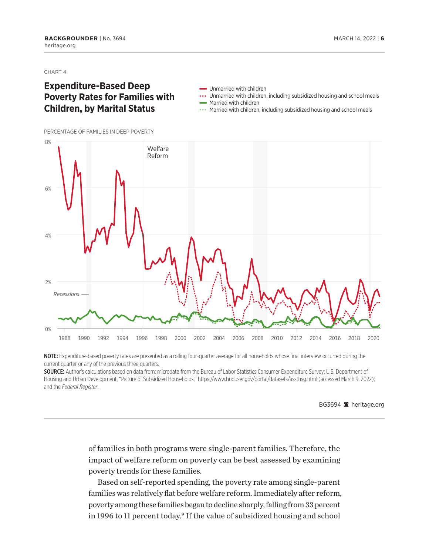### <span id="page-5-0"></span>**Expenditure-Based Deep Poverty Rates for Families with Children, by Marital Status**

 $\rightarrow$  Unmarried with children

- Unmarried with children, including subsidized housing and school meals
- $\longrightarrow$  Married with children
- ••• Married with children, including subsidized housing and school meals



NOTE: Expenditure-based poverty rates are presented as a rolling four-quarter average for all households whose final interview occurred during the current quarter or any of the previous three quarters.

SOURCE: Author's calculations based on data from: microdata from the Bureau of Labor Statistics Consumer Expenditure Survey; U.S. Department of Housing and Urban Development, "Picture of Subsidized Households," https://www.huduser.gov/portal/datasets/assthsg.html (accessed March 9, 2022); and the *Federal Register*.

BG3694 <sup>a</sup> heritage.org

of families in both programs were single-parent families. Therefore, the impact of welfare reform on poverty can be best assessed by examining poverty trends for these families.

Based on self-reported spending, the poverty rate among single-parent families was relatively flat before welfare reform. Immediately after reform, poverty among these families began to decline sharply, falling from 33 percent in 1996 to 11 percent today.<sup>9</sup> If the value of subsidized housing and school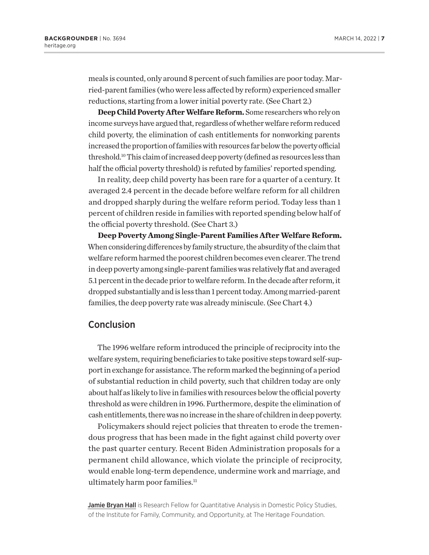<span id="page-6-0"></span>meals is counted, only around 8 percent of such families are poor today. Married-parent families (who were less affected by reform) experienced smaller reductions, starting from a lower initial poverty rate. (See Chart 2.)

**Deep Child Poverty After Welfare Reform.** Some researchers who rely on income surveys have argued that, regardless of whether welfare reform reduced child poverty, the elimination of cash entitlements for nonworking parents increased the proportion of families with resources far below the poverty official threshold[.10](#page-13-0) This claim of increased deep poverty (defined as resources less than half the official poverty threshold) is refuted by families' reported spending.

In reality, deep child poverty has been rare for a quarter of a century. It averaged 2.4 percent in the decade before welfare reform for all children and dropped sharply during the welfare reform period. Today less than 1 percent of children reside in families with reported spending below half of the official poverty threshold. (See Chart 3.)

**Deep Poverty Among Single-Parent Families After Welfare Reform.**  When considering differences by family structure, the absurdity of the claim that welfare reform harmed the poorest children becomes even clearer. The trend in deep poverty among single-parent families was relatively flat and averaged 5.1 percent in the decade prior to welfare reform. In the decade after reform, it dropped substantially and is less than 1 percent today. Among married-parent families, the deep poverty rate was already miniscule. (See Chart 4.)

### Conclusion

The 1996 welfare reform introduced the principle of reciprocity into the welfare system, requiring beneficiaries to take positive steps toward self-support in exchange for assistance. The reform marked the beginning of a period of substantial reduction in child poverty, such that children today are only about half as likely to live in families with resources below the official poverty threshold as were children in 1996. Furthermore, despite the elimination of cash entitlements, there was no increase in the share of children in deep poverty.

Policymakers should reject policies that threaten to erode the tremendous progress that has been made in the fight against child poverty over the past quarter century. Recent Biden Administration proposals for a permanent child allowance, which violate the principle of reciprocity, would enable long-term dependence, undermine work and marriage, and ultimately harm poor families.<sup>[11](#page-13-0)</sup>

Jamie Bryan Hall is Research Fellow for Quantitative Analysis in Domestic Policy Studies, of the Institute for Family, Community, and Opportunity, at The Heritage Foundation.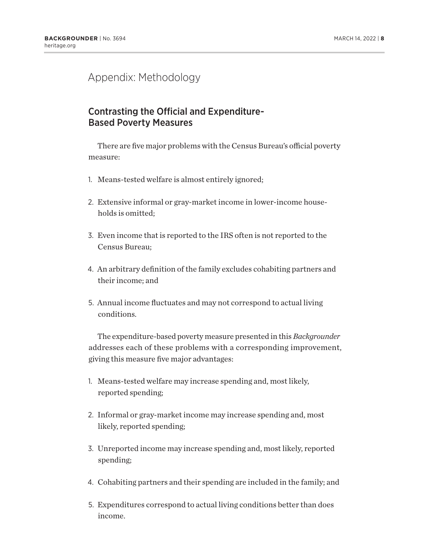### Appendix: Methodology

### Contrasting the Official and Expenditure-Based Poverty Measures

There are five major problems with the Census Bureau's official poverty measure:

- 1. Means-tested welfare is almost entirely ignored;
- 2. Extensive informal or gray-market income in lower-income households is omitted;
- 3. Even income that is reported to the IRS often is not reported to the Census Bureau;
- 4. An arbitrary definition of the family excludes cohabiting partners and their income; and
- 5. Annual income fluctuates and may not correspond to actual living conditions.

The expenditure-based poverty measure presented in this *Backgrounder* addresses each of these problems with a corresponding improvement, giving this measure five major advantages:

- 1. Means-tested welfare may increase spending and, most likely, reported spending;
- 2. Informal or gray-market income may increase spending and, most likely, reported spending;
- 3. Unreported income may increase spending and, most likely, reported spending;
- 4. Cohabiting partners and their spending are included in the family; and
- 5. Expenditures correspond to actual living conditions better than does income.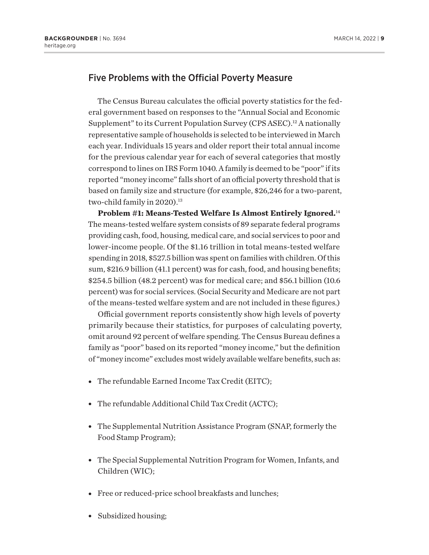### <span id="page-8-0"></span>Five Problems with the Official Poverty Measure

The Census Bureau calculates the official poverty statistics for the federal government based on responses to the "Annual Social and Economic Supplement" to its Current Population Survey (CPS ASEC).<sup>[12](#page-13-0)</sup> A nationally representative sample of households is selected to be interviewed in March each year. Individuals 15 years and older report their total annual income for the previous calendar year for each of several categories that mostly correspond to lines on IRS Form 1040. A family is deemed to be "poor" if its reported "money income" falls short of an official poverty threshold that is based on family size and structure (for example, \$26,246 for a two-parent, two-child family in 2020).<sup>13</sup>

**Problem #1: Means-Tested Welfare Is Almost Entirely Ignored.**[14](#page-13-0) The means-tested welfare system consists of 89 separate federal programs providing cash, food, housing, medical care, and social services to poor and lower-income people. Of the \$1.16 trillion in total means-tested welfare spending in 2018, \$527.5 billion was spent on families with children. Of this sum, \$216.9 billion (41.1 percent) was for cash, food, and housing benefits; \$254.5 billion (48.2 percent) was for medical care; and \$56.1 billion (10.6 percent) was for social services. (Social Security and Medicare are not part of the means-tested welfare system and are not included in these figures.)

Official government reports consistently show high levels of poverty primarily because their statistics, for purposes of calculating poverty, omit around 92 percent of welfare spending. The Census Bureau defines a family as "poor" based on its reported "money income," but the definition of "money income" excludes most widely available welfare benefits, such as:

- The refundable Earned Income Tax Credit (EITC);
- The refundable Additional Child Tax Credit (ACTC);
- The Supplemental Nutrition Assistance Program (SNAP, formerly the Food Stamp Program);
- The Special Supplemental Nutrition Program for Women, Infants, and Children (WIC);
- Free or reduced-price school breakfasts and lunches;
- Subsidized housing;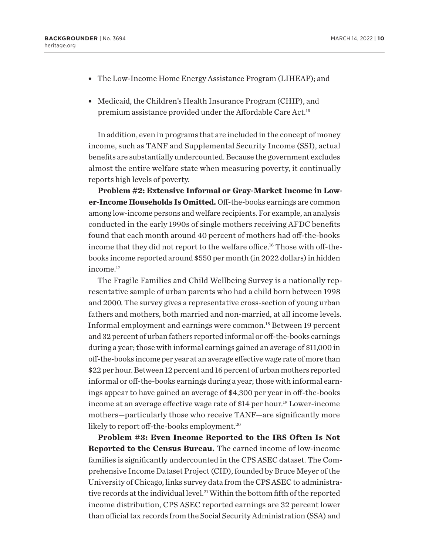- <span id="page-9-0"></span>• The Low-Income Home Energy Assistance Program (LIHEAP); and
- Medicaid, the Children's Health Insurance Program (CHIP), and premium assistance provided under the Affordable Care Act.[15](#page-13-0)

In addition, even in programs that are included in the concept of money income, such as TANF and Supplemental Security Income (SSI), actual benefits are substantially undercounted. Because the government excludes almost the entire welfare state when measuring poverty, it continually reports high levels of poverty.

**Problem #2: Extensive Informal or Gray-Market Income in Lower-Income Households Is Omitted.** Off-the-books earnings are common among low-income persons and welfare recipients. For example, an analysis conducted in the early 1990s of single mothers receiving AFDC benefits found that each month around 40 percent of mothers had off-the-books income that they did not report to the welfare office.<sup>16</sup> Those with off-thebooks income reported around \$550 per month (in 2022 dollars) in hidden income.[17](#page-13-0)

The Fragile Families and Child Wellbeing Survey is a nationally representative sample of urban parents who had a child born between 1998 and 2000. The survey gives a representative cross-section of young urban fathers and mothers, both married and non-married, at all income levels. Informal employment and earnings were common[.18](#page-13-0) Between 19 percent and 32 percent of urban fathers reported informal or off-the-books earnings during a year; those with informal earnings gained an average of \$11,000 in off-the-books income per year at an average effective wage rate of more than \$22 per hour. Between 12 percent and 16 percent of urban mothers reported informal or off-the-books earnings during a year; those with informal earnings appear to have gained an average of \$4,300 per year in off-the-books income at an average effective wage rate of \$14 per hour.<sup>[19](#page-13-0)</sup> Lower-income mothers—particularly those who receive TANF—are significantly more likely to report off-the-books employment.<sup>20</sup>

**Problem #3: Even Income Reported to the IRS Often Is Not Reported to the Census Bureau.** The earned income of low-income families is significantly undercounted in the CPS ASEC dataset. The Comprehensive Income Dataset Project (CID), founded by Bruce Meyer of the University of Chicago, links survey data from the CPS ASEC to administrative records at the individual level.<sup>21</sup> Within the bottom fifth of the reported income distribution, CPS ASEC reported earnings are 32 percent lower than official tax records from the Social Security Administration (SSA) and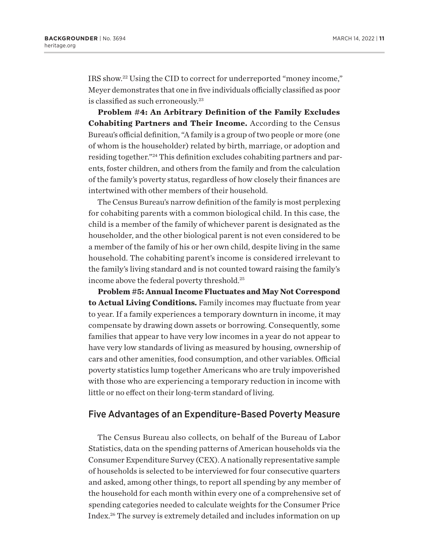<span id="page-10-0"></span>IRS show.[22](#page-14-0) Using the CID to correct for underreported "money income," Meyer demonstrates that one in five individuals officially classified as poor is classified as such erroneously.<sup>23</sup>

**Problem #4: An Arbitrary Definition of the Family Excludes Cohabiting Partners and Their Income.** According to the Census Bureau's official definition, "A family is a group of two people or more (one of whom is the householder) related by birth, marriage, or adoption and residing together."[24](#page-14-0) This definition excludes cohabiting partners and parents, foster children, and others from the family and from the calculation of the family's poverty status, regardless of how closely their finances are intertwined with other members of their household.

The Census Bureau's narrow definition of the family is most perplexing for cohabiting parents with a common biological child. In this case, the child is a member of the family of whichever parent is designated as the householder, and the other biological parent is not even considered to be a member of the family of his or her own child, despite living in the same household. The cohabiting parent's income is considered irrelevant to the family's living standard and is not counted toward raising the family's income above the federal poverty threshold.[25](#page-14-0)

**Problem #5: Annual Income Fluctuates and May Not Correspond to Actual Living Conditions.** Family incomes may fluctuate from year to year. If a family experiences a temporary downturn in income, it may compensate by drawing down assets or borrowing. Consequently, some families that appear to have very low incomes in a year do not appear to have very low standards of living as measured by housing, ownership of cars and other amenities, food consumption, and other variables. Official poverty statistics lump together Americans who are truly impoverished with those who are experiencing a temporary reduction in income with little or no effect on their long-term standard of living.

### Five Advantages of an Expenditure-Based Poverty Measure

The Census Bureau also collects, on behalf of the Bureau of Labor Statistics, data on the spending patterns of American households via the Consumer Expenditure Survey (CEX). A nationally representative sample of households is selected to be interviewed for four consecutive quarters and asked, among other things, to report all spending by any member of the household for each month within every one of a comprehensive set of spending categories needed to calculate weights for the Consumer Price Index[.26](#page-14-0) The survey is extremely detailed and includes information on up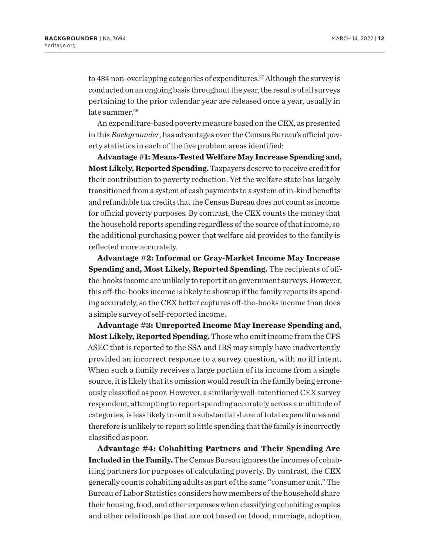<span id="page-11-0"></span>to 484 non-overlapping categories of expenditures.<sup>27</sup> Although the survey is conducted on an ongoing basis throughout the year, the results of all surveys pertaining to the prior calendar year are released once a year, usually in late summer.<sup>28</sup>

An expenditure-based poverty measure based on the CEX, as presented in this *Backgrounder*, has advantages over the Census Bureau's official poverty statistics in each of the five problem areas identified:

**Advantage #1: Means-Tested Welfare May Increase Spending and, Most Likely, Reported Spending.** Taxpayers deserve to receive credit for their contribution to poverty reduction. Yet the welfare state has largely transitioned from a system of cash payments to a system of in-kind benefits and refundable tax credits that the Census Bureau does not count as income for official poverty purposes. By contrast, the CEX counts the money that the household reports spending regardless of the source of that income, so the additional purchasing power that welfare aid provides to the family is reflected more accurately.

**Advantage #2: Informal or Gray-Market Income May Increase Spending and, Most Likely, Reported Spending.** The recipients of offthe-books income are unlikely to report it on government surveys. However, this off-the-books income is likely to show up if the family reports its spending accurately, so the CEX better captures off-the-books income than does a simple survey of self-reported income.

**Advantage #3: Unreported Income May Increase Spending and, Most Likely, Reported Spending.** Those who omit income from the CPS ASEC that is reported to the SSA and IRS may simply have inadvertently provided an incorrect response to a survey question, with no ill intent. When such a family receives a large portion of its income from a single source, it is likely that its omission would result in the family being erroneously classified as poor. However, a similarly well-intentioned CEX survey respondent, attempting to report spending accurately across a multitude of categories, is less likely to omit a substantial share of total expenditures and therefore is unlikely to report so little spending that the family is incorrectly classified as poor.

**Advantage #4: Cohabiting Partners and Their Spending Are Included in the Family.** The Census Bureau ignores the incomes of cohabiting partners for purposes of calculating poverty. By contrast, the CEX generally counts cohabiting adults as part of the same "consumer unit." The Bureau of Labor Statistics considers how members of the household share their housing, food, and other expenses when classifying cohabiting couples and other relationships that are not based on blood, marriage, adoption,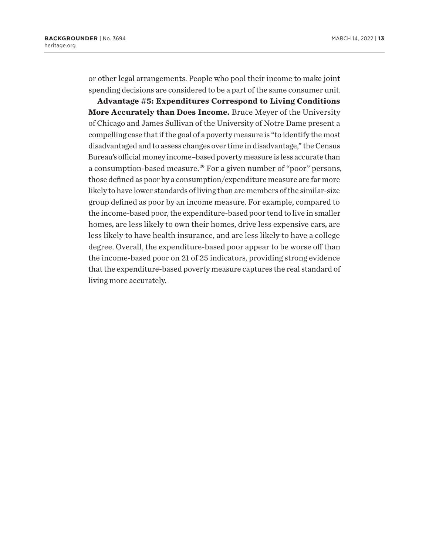<span id="page-12-0"></span>or other legal arrangements. People who pool their income to make joint spending decisions are considered to be a part of the same consumer unit.

**Advantage #5: Expenditures Correspond to Living Conditions More Accurately than Does Income.** Bruce Meyer of the University of Chicago and James Sullivan of the University of Notre Dame present a compelling case that if the goal of a poverty measure is "to identify the most disadvantaged and to assess changes over time in disadvantage," the Census Bureau's official money income–based poverty measure is less accurate than a consumption-based measure.<sup>[29](#page-14-0)</sup> For a given number of "poor" persons, those defined as poor by a consumption/expenditure measure are far more likely to have lower standards of living than are members of the similar-size group defined as poor by an income measure. For example, compared to the income-based poor, the expenditure-based poor tend to live in smaller homes, are less likely to own their homes, drive less expensive cars, are less likely to have health insurance, and are less likely to have a college degree. Overall, the expenditure-based poor appear to be worse off than the income-based poor on 21 of 25 indicators, providing strong evidence that the expenditure-based poverty measure captures the real standard of living more accurately.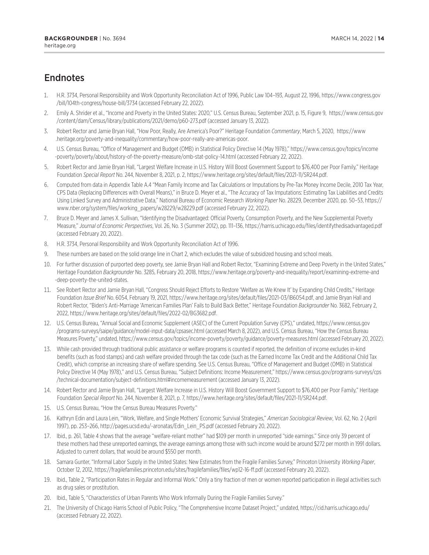### <span id="page-13-0"></span>**Endnotes**

- [1.](#page-0-0) H.R. 3734, Personal Responsibility and Work Opportunity Reconciliation Act of 1996, Public Law 104–193, August 22, 1996, [https://www.congress.gov](https://www.congress.gov/bill/104th-congress/house-bill/3734) [/bill/104th-congress/house-bill/3734](https://www.congress.gov/bill/104th-congress/house-bill/3734) (accessed February 22, 2022).
- [2](#page-1-0). Emily A. Shrider et al., "Income and Poverty in the United States: 2020," U.S. Census Bureau, September 2021, p. 15, Figure 9, [https://www.census.gov](https://www.census.gov/content/dam/Census/library/publications/2021/demo/p60-273.pdf) [/content/dam/Census/library/publications/2021/demo/p60-273.pdf](https://www.census.gov/content/dam/Census/library/publications/2021/demo/p60-273.pdf) (accessed January 13, 2022).
- [3.](#page-1-0) Robert Rector and Jamie Bryan Hall, "How Poor, Really, Are America's Poor?" Heritage Foundation *Commentary*, March 5, 2020, [https://www](https://www.heritage.org/poverty-and-inequality/commentary/how-poor-really-are-americas-poor) [.heritage.org/poverty-and-inequality/commentary/how-poor-really-are-americas-poor.](https://www.heritage.org/poverty-and-inequality/commentary/how-poor-really-are-americas-poor)
- [4.](#page-1-0) U.S. Census Bureau, "Office of Management and Budget (OMB) in Statistical Policy Directive 14 (May 1978)," [https://www.census.gov/topics/income](https://www.census.gov/topics/income-poverty/poverty/about/history-of-the-poverty-measure/omb-stat-policy-14.html) [-poverty/poverty/about/history-of-the-poverty-measure/omb-stat-policy-14.html](https://www.census.gov/topics/income-poverty/poverty/about/history-of-the-poverty-measure/omb-stat-policy-14.html) (accessed February 22, 2022).
- [5](#page-1-0). Robert Rector and Jamie Bryan Hall, "Largest Welfare Increase in U.S. History Will Boost Government Support to \$76,400 per Poor Family," Heritage Foundation *Special Report* No. 244, November 8, 2021, p. 2,<https://www.heritage.org/sites/default/files/2021-11/SR244.pdf>.
- [6](#page-1-0). Computed from data in Appendix Table A.4 "Mean Family Income and Tax Calculations or Imputations by Pre-Tax Money Income Decile, 2010 Tax Year, CPS Data (Replacing Differences with Overall Means)," in Bruce D. Meyer et al., "The Accuracy of Tax Imputations: Estimating Tax Liabilities and Credits Using Linked Survey and Administrative Data," National Bureau of Economic Research *Working Paper* No. 28229, December 2020, pp. 50–53, [https://](https://www.nber.org/system/files/working_papers/w28229/w28229.pdf) [www.nber.org/system/files/working\\_papers/w28229/w28229.pdf](https://www.nber.org/system/files/working_papers/w28229/w28229.pdf) (accessed February 22, 2022).
- [7.](#page-2-0) Bruce D. Meyer and James X. Sullivan, "Identifying the Disadvantaged: Official Poverty, Consumption Poverty, and the New Supplemental Poverty Measure," *Journal of Economic Perspectives*, Vol. 26, No. 3 (Summer 2012), pp. 111–136,<https://harris.uchicago.edu/files/identifythedisadvantaged.pdf> (accessed February 20, 2022).
- [8](#page-2-0). H.R. 3734, Personal Responsibility and Work Opportunity Reconciliation Act of 1996.
- [9](#page-5-0). These numbers are based on the solid orange line in Chart 2, which excludes the value of subsidized housing and school meals.
- [10.](#page-6-0) For further discussion of purported deep poverty, see Jamie Bryan Hall and Robert Rector, "Examining Extreme and Deep Poverty in the United States," Heritage Foundation *Backgrounder* No. 3285, February 20, 2018, [https://www.heritage.org/poverty-and-inequality/report/examining-extreme-and](https://www.heritage.org/poverty-and-inequality/report/examining-extreme-and-deep-poverty-the-united-states) [-deep-poverty-the-united-states.](https://www.heritage.org/poverty-and-inequality/report/examining-extreme-and-deep-poverty-the-united-states)
- [11.](#page-6-0) See Robert Rector and Jamie Bryan Hall, "Congress Should Reject Efforts to Restore 'Welfare as We Knew It' by Expanding Child Credits," Heritage Foundation *Issue Brief* No. 6054, February 19, 2021, [https://www.heritage.org/sites/default/files/2021-03/IB6054.pdf,](https://www.heritage.org/sites/default/files/2021-03/IB6054.pdf) and Jamie Bryan Hall and Robert Rector, "Biden's Anti-Marriage 'American Families Plan' Fails to Build Back Better," Heritage Foundation *Backgrounder* No. 3682, February 2, 2022, <https://www.heritage.org/sites/default/files/2022-02/BG3682.pdf>.
- [12.](#page-8-0) U.S. Census Bureau, "Annual Social and Economic Supplement (ASEC) of the Current Population Survey (CPS)," undated, [https://www.census.gov](https://www.census.gov/programs-surveys/saipe/guidance/model-input-data/cpsasec.html) [/programs-surveys/saipe/guidance/model-input-data/cpsasec.html](https://www.census.gov/programs-surveys/saipe/guidance/model-input-data/cpsasec.html) (accessed March 8, 2022), and U.S. Census Bureau, "How the Census Bureau Measures Poverty," undated,<https://www.census.gov/topics/income-poverty/poverty/guidance/poverty-measures.html> (accessed February 20, 2022).
- [13.](#page-8-0) While cash provided through traditional public assistance or welfare programs is counted if reported, the definition of income excludes in-kind benefits (such as food stamps) and cash welfare provided through the tax code (such as the Earned Income Tax Credit and the Additional Child Tax Credit), which comprise an increasing share of welfare spending. See U.S. Census Bureau, "Office of Management and Budget (OMB) in Statistical Policy Directive 14 (May 1978)," and U.S. Census Bureau, "Subject Definitions: Income Measurement," [https://www.census.gov/programs-surveys/cps](https://www.census.gov/programs-surveys/cps/technical-documentation/subject-definitions.html#incomemeasurement) [/technical-documentation/subject-definitions.html#incomemeasurement](https://www.census.gov/programs-surveys/cps/technical-documentation/subject-definitions.html#incomemeasurement) (accessed January 13, 2022).
- [14.](#page-8-0) Robert Rector and Jamie Bryan Hall, "Largest Welfare Increase in U.S. History Will Boost Government Support to \$76,400 per Poor Family," Heritage Foundation *Special Report* No. 244, November 8, 2021, p. 7,<https://www.heritage.org/sites/default/files/2021-11/SR244.pdf>.
- [15.](#page-9-0) U.S. Census Bureau, "How the Census Bureau Measures Poverty."
- [16.](#page-9-0) Kathryn Edin and Laura Lein, "Work, Welfare, and Single Mothers' Economic Survival Strategies," *American Sociological Review*, Vol. 62, No. 2 (April 1997), pp. 253–266, [http://pages.ucsd.edu/~aronatas/Edin\\_Lein\\_PS.pdf](http://pages.ucsd.edu/~aronatas/Edin_Lein_PS.pdf) (accessed February 20, 2022).
- [17.](#page-9-0) Ibid., p. 261, Table 4 shows that the average "welfare-reliant mother" had \$109 per month in unreported "side earnings." Since only 39 percent of these mothers had these unreported earnings, the average earnings among those with such income would be around \$272 per month in 1991 dollars. Adjusted to current dollars, that would be around \$550 per month.
- [18.](#page-9-0) Samara Gunter, "Informal Labor Supply in the United States: New Estimates from the Fragile Families Survey," Princeton University *Working Paper*, October 12, 2012,<https://fragilefamilies.princeton.edu/sites/fragilefamilies/files/wp12-16-ff.pdf> (accessed February 20, 2022).
- [19.](#page-9-0) Ibid., Table 2, "Participation Rates in Regular and Informal Work." Only a tiny fraction of men or women reported participation in illegal activities such as drug sales or prostitution.
- [20](#page-9-0). Ibid., Table 5, "Characteristics of Urban Parents Who Work Informally During the Fragile Families Survey."
- [21](#page-9-0). The University of Chicago Harris School of Public Policy, "The Comprehensive Income Dataset Project," undated,<https://cid.harris.uchicago.edu/> (accessed February 22, 2022).